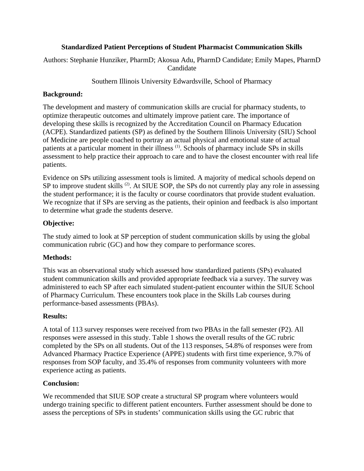# **Standardized Patient Perceptions of Student Pharmacist Communication Skills**

Authors: Stephanie Hunziker, PharmD; Akosua Adu, PharmD Candidate; Emily Mapes, PharmD Candidate

Southern Illinois University Edwardsville, School of Pharmacy

# **Background:**

The development and mastery of communication skills are crucial for pharmacy students, to optimize therapeutic outcomes and ultimately improve patient care. The importance of developing these skills is recognized by the Accreditation Council on Pharmacy Education (ACPE). Standardized patients (SP) as defined by the Southern Illinois University (SIU) School of Medicine are people coached to portray an actual physical and emotional state of actual patients at a particular moment in their illness (1). Schools of pharmacy include SPs in skills assessment to help practice their approach to care and to have the closest encounter with real life patients.

Evidence on SPs utilizing assessment tools is limited. A majority of medical schools depend on SP to improve student skills  $(2)$ . At SIUE SOP, the SPs do not currently play any role in assessing the student performance; it is the faculty or course coordinators that provide student evaluation. We recognize that if SPs are serving as the patients, their opinion and feedback is also important to determine what grade the students deserve.

# **Objective:**

The study aimed to look at SP perception of student communication skills by using the global communication rubric (GC) and how they compare to performance scores.

### **Methods:**

This was an observational study which assessed how standardized patients (SPs) evaluated student communication skills and provided appropriate feedback via a survey. The survey was administered to each SP after each simulated student-patient encounter within the SIUE School of Pharmacy Curriculum. These encounters took place in the Skills Lab courses during performance-based assessments (PBAs).

### **Results:**

A total of 113 survey responses were received from two PBAs in the fall semester (P2). All responses were assessed in this study. Table 1 shows the overall results of the GC rubric completed by the SPs on all students. Out of the 113 responses, 54.8% of responses were from Advanced Pharmacy Practice Experience (APPE) students with first time experience, 9.7% of responses from SOP faculty, and 35.4% of responses from community volunteers with more experience acting as patients.

### **Conclusion:**

We recommended that SIUE SOP create a structural SP program where volunteers would undergo training specific to different patient encounters. Further assessment should be done to assess the perceptions of SPs in students' communication skills using the GC rubric that